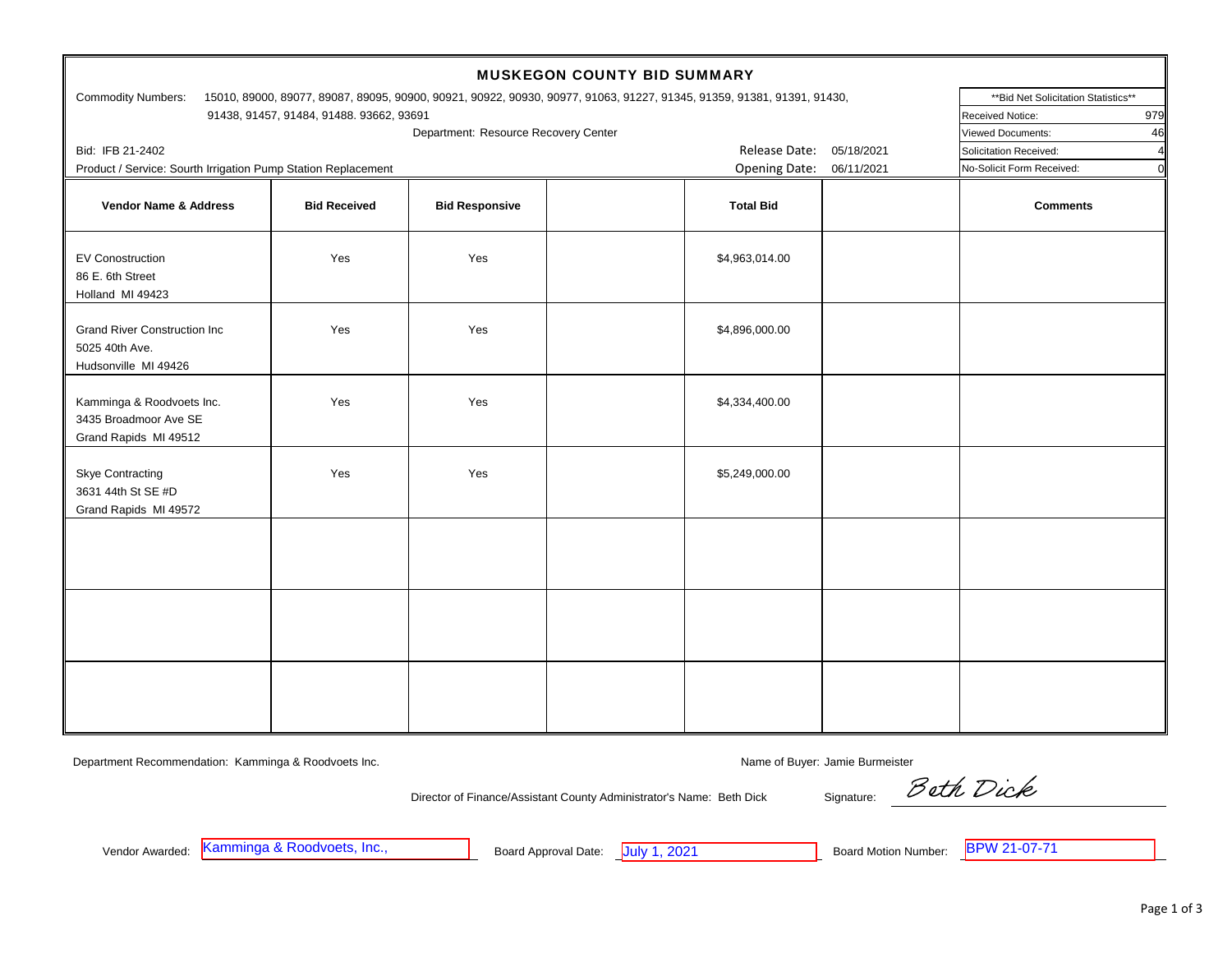| <b>MUSKEGON COUNTY BID SUMMARY</b>                                                                                                                  |                     |                                      |  |                          |            |                                             |  |  |  |
|-----------------------------------------------------------------------------------------------------------------------------------------------------|---------------------|--------------------------------------|--|--------------------------|------------|---------------------------------------------|--|--|--|
| <b>Commodity Numbers:</b><br>15010, 89000, 89077, 89087, 89095, 90900, 90921, 90922, 90930, 90977, 91063, 91227, 91345, 91359, 91381, 91391, 91430, |                     |                                      |  |                          |            | ** Bid Net Solicitation Statistics**        |  |  |  |
| 91438, 91457, 91484, 91488. 93662, 93691                                                                                                            |                     |                                      |  |                          |            | 979<br>Received Notice:                     |  |  |  |
|                                                                                                                                                     |                     | Department: Resource Recovery Center |  |                          |            | Viewed Documents:<br>46                     |  |  |  |
| Bid: IFB 21-2402                                                                                                                                    |                     |                                      |  | Release Date: 05/18/2021 |            | $\overline{4}$<br>Solicitation Received:    |  |  |  |
| Product / Service: Sourth Irrigation Pump Station Replacement                                                                                       |                     |                                      |  | Opening Date:            | 06/11/2021 | $\overline{0}$<br>No-Solicit Form Received: |  |  |  |
| Vendor Name & Address                                                                                                                               | <b>Bid Received</b> | <b>Bid Responsive</b>                |  | <b>Total Bid</b>         |            | <b>Comments</b>                             |  |  |  |
| <b>EV Conostruction</b><br>86 E. 6th Street<br>Holland MI 49423                                                                                     | Yes                 | Yes                                  |  | \$4,963,014.00           |            |                                             |  |  |  |
| <b>Grand River Construction Inc</b><br>5025 40th Ave.<br>Hudsonville MI 49426                                                                       | Yes                 | Yes                                  |  | \$4,896,000.00           |            |                                             |  |  |  |
| Kamminga & Roodvoets Inc.<br>3435 Broadmoor Ave SE<br>Grand Rapids MI 49512                                                                         | Yes                 | Yes                                  |  | \$4,334,400.00           |            |                                             |  |  |  |
| <b>Skye Contracting</b><br>3631 44th St SE #D<br>Grand Rapids MI 49572                                                                              | Yes                 | Yes                                  |  | \$5,249,000.00           |            |                                             |  |  |  |
|                                                                                                                                                     |                     |                                      |  |                          |            |                                             |  |  |  |
|                                                                                                                                                     |                     |                                      |  |                          |            |                                             |  |  |  |
|                                                                                                                                                     |                     |                                      |  |                          |            |                                             |  |  |  |

Department Recommendation: Kamminga & Roodvoets Inc. Name of Buyer: Jamie Burmeister Name of Buyer: Jamie Burmeister

Director of Finance/Assistant County Administrator's Name: Beth Dick Signature:

Beth Dick

Kamminga & Roodvoets, Inc.,

Vendor Awarded: **Kamminga & ROODVOETS, INC.,** Board Approval Date: UUIy 1, 2021 **Board Motion Number:** 

Board Motion Number: BPW 21-07-71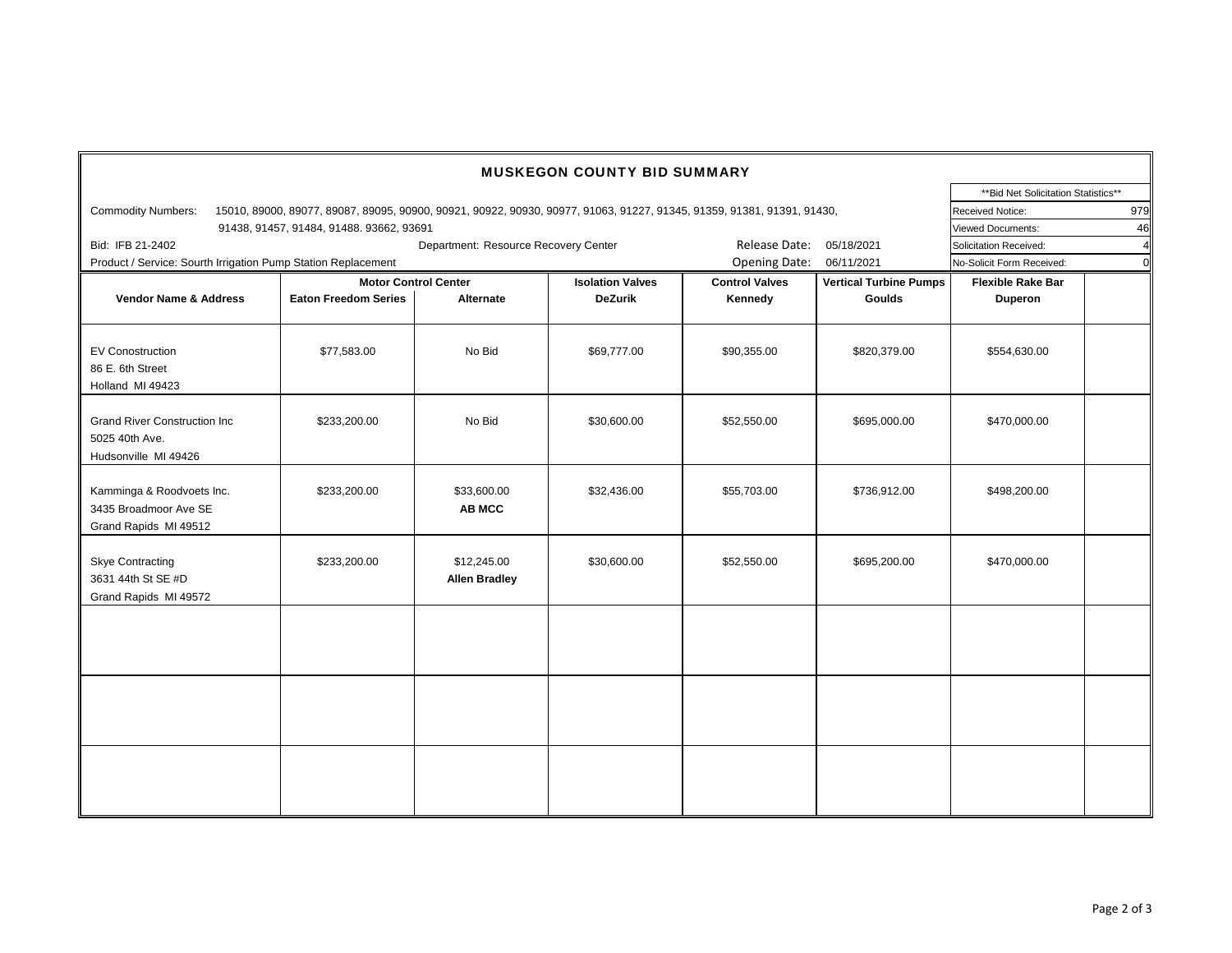| <b>MUSKEGON COUNTY BID SUMMARY</b>                                                                                                        |                             |                      |                         |                       |                               |                           |                                      |
|-------------------------------------------------------------------------------------------------------------------------------------------|-----------------------------|----------------------|-------------------------|-----------------------|-------------------------------|---------------------------|--------------------------------------|
|                                                                                                                                           |                             |                      |                         |                       |                               |                           | ** Bid Net Solicitation Statistics** |
| Commodity Numbers: 15010, 89000, 89077, 89087, 89095, 90900, 90921, 90922, 90930, 90977, 91063, 91227, 91345, 91359, 91381, 91391, 91430, |                             |                      |                         |                       |                               | Received Notice:          | 979                                  |
| 91438, 91457, 91484, 91488. 93662, 93691                                                                                                  |                             |                      |                         |                       |                               | Viewed Documents:         | 46                                   |
| Bid: IFB 21-2402<br>Department: Resource Recovery Center                                                                                  |                             |                      |                         | Release Date:         | 05/18/2021                    | Solicitation Received:    | 4                                    |
| Product / Service: Sourth Irrigation Pump Station Replacement                                                                             |                             |                      |                         | Opening Date:         | 06/11/2021                    | No-Solicit Form Received: | $\Omega$                             |
|                                                                                                                                           | <b>Motor Control Center</b> |                      | <b>Isolation Valves</b> | <b>Control Valves</b> | <b>Vertical Turbine Pumps</b> | <b>Flexible Rake Bar</b>  |                                      |
| <b>Vendor Name &amp; Address</b>                                                                                                          | <b>Eaton Freedom Series</b> | Alternate            | <b>DeZurik</b>          | Kennedy               | Goulds                        | Duperon                   |                                      |
|                                                                                                                                           |                             |                      |                         |                       |                               |                           |                                      |
|                                                                                                                                           |                             |                      |                         |                       |                               |                           |                                      |
| <b>EV Conostruction</b>                                                                                                                   | \$77,583.00                 | No Bid               | \$69,777.00             | \$90,355.00           | \$820,379.00                  | \$554,630.00              |                                      |
| 86 E. 6th Street                                                                                                                          |                             |                      |                         |                       |                               |                           |                                      |
| Holland MI 49423                                                                                                                          |                             |                      |                         |                       |                               |                           |                                      |
| <b>Grand River Construction Inc</b>                                                                                                       |                             | No Bid               |                         |                       |                               |                           |                                      |
| 5025 40th Ave.                                                                                                                            | \$233,200.00                |                      | \$30,600.00             | \$52,550.00           | \$695,000.00                  | \$470,000.00              |                                      |
| Hudsonville MI 49426                                                                                                                      |                             |                      |                         |                       |                               |                           |                                      |
|                                                                                                                                           |                             |                      |                         |                       |                               |                           |                                      |
| Kamminga & Roodvoets Inc.                                                                                                                 | \$233,200.00                | \$33,600.00          | \$32,436.00             | \$55,703.00           | \$736,912.00                  | \$498,200.00              |                                      |
| 3435 Broadmoor Ave SE                                                                                                                     |                             | <b>AB MCC</b>        |                         |                       |                               |                           |                                      |
| Grand Rapids MI 49512                                                                                                                     |                             |                      |                         |                       |                               |                           |                                      |
|                                                                                                                                           |                             |                      |                         |                       |                               |                           |                                      |
| <b>Skye Contracting</b>                                                                                                                   | \$233,200.00                | \$12,245.00          | \$30,600.00             | \$52,550.00           | \$695,200.00                  | \$470,000.00              |                                      |
| 3631 44th St SE #D                                                                                                                        |                             | <b>Allen Bradley</b> |                         |                       |                               |                           |                                      |
| Grand Rapids MI 49572                                                                                                                     |                             |                      |                         |                       |                               |                           |                                      |
|                                                                                                                                           |                             |                      |                         |                       |                               |                           |                                      |
|                                                                                                                                           |                             |                      |                         |                       |                               |                           |                                      |
|                                                                                                                                           |                             |                      |                         |                       |                               |                           |                                      |
|                                                                                                                                           |                             |                      |                         |                       |                               |                           |                                      |
|                                                                                                                                           |                             |                      |                         |                       |                               |                           |                                      |
|                                                                                                                                           |                             |                      |                         |                       |                               |                           |                                      |
|                                                                                                                                           |                             |                      |                         |                       |                               |                           |                                      |
|                                                                                                                                           |                             |                      |                         |                       |                               |                           |                                      |
|                                                                                                                                           |                             |                      |                         |                       |                               |                           |                                      |
|                                                                                                                                           |                             |                      |                         |                       |                               |                           |                                      |
|                                                                                                                                           |                             |                      |                         |                       |                               |                           |                                      |
|                                                                                                                                           |                             |                      |                         |                       |                               |                           |                                      |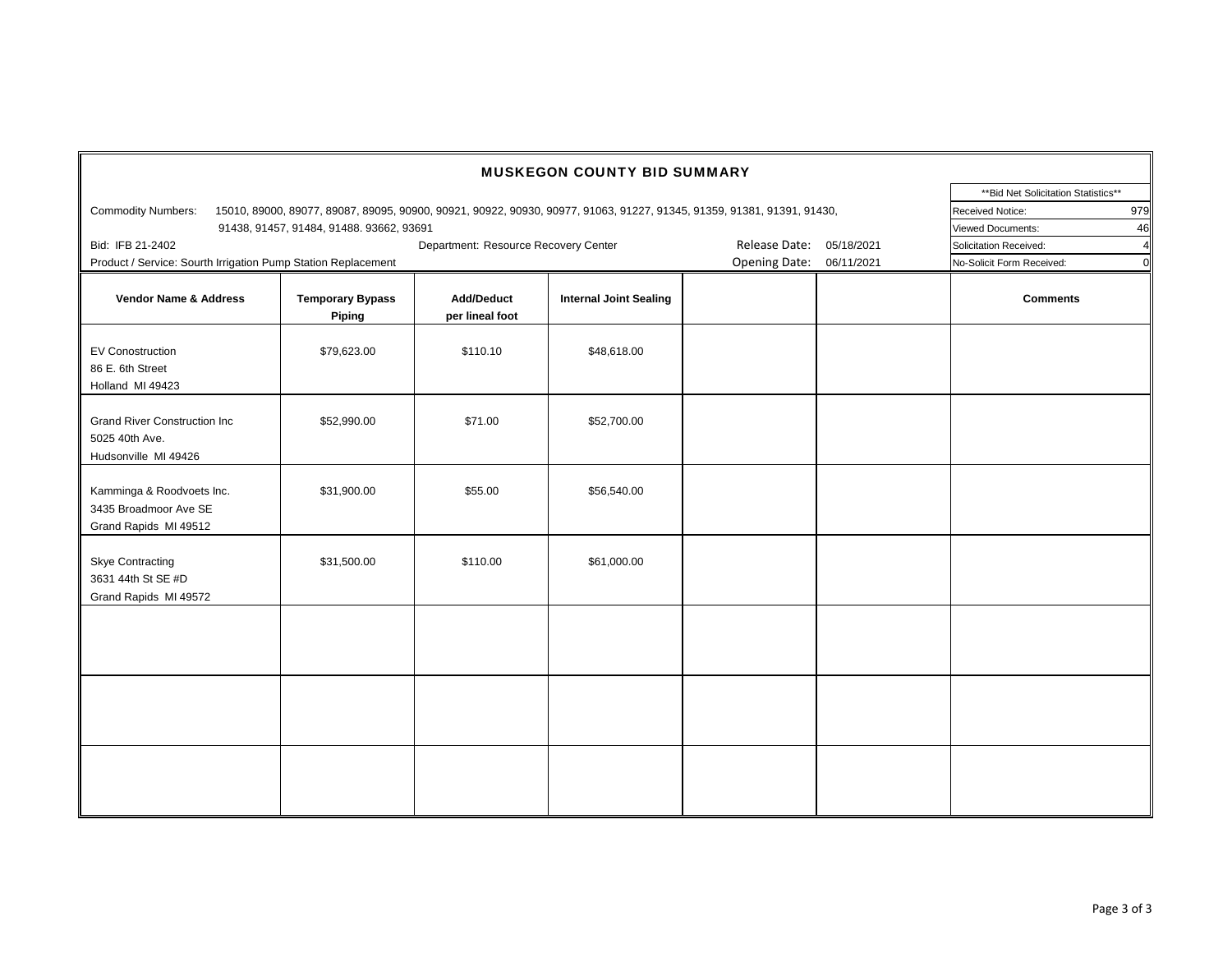| <b>MUSKEGON COUNTY BID SUMMARY</b>                                                                                                        |                                      |                                      |                               |                          |            |                           |                |  |
|-------------------------------------------------------------------------------------------------------------------------------------------|--------------------------------------|--------------------------------------|-------------------------------|--------------------------|------------|---------------------------|----------------|--|
|                                                                                                                                           | ** Bid Net Solicitation Statistics** |                                      |                               |                          |            |                           |                |  |
| Commodity Numbers: 15010, 89000, 89077, 89087, 89095, 90900, 90921, 90922, 90930, 90977, 91063, 91227, 91345, 91359, 91381, 91391, 91430, |                                      |                                      |                               |                          |            | Received Notice:          | 979            |  |
| 91438, 91457, 91484, 91488. 93662, 93691                                                                                                  |                                      | Viewed Documents:                    | 46                            |                          |            |                           |                |  |
| Bid: IFB 21-2402                                                                                                                          |                                      | Department: Resource Recovery Center |                               | Release Date: 05/18/2021 |            | Solicitation Received:    | $\overline{4}$ |  |
| Product / Service: Sourth Irrigation Pump Station Replacement                                                                             |                                      |                                      |                               | Opening Date:            | 06/11/2021 | No-Solicit Form Received: | $\overline{0}$ |  |
| Vendor Name & Address                                                                                                                     | <b>Temporary Bypass</b><br>Piping    | <b>Add/Deduct</b><br>per lineal foot | <b>Internal Joint Sealing</b> |                          |            | <b>Comments</b>           |                |  |
| <b>EV Conostruction</b><br>86 E. 6th Street<br>Holland MI 49423                                                                           | \$79,623.00                          | \$110.10                             | \$48,618.00                   |                          |            |                           |                |  |
| <b>Grand River Construction Inc</b><br>5025 40th Ave.<br>Hudsonville MI 49426                                                             | \$52,990.00                          | \$71.00                              | \$52,700.00                   |                          |            |                           |                |  |
| Kamminga & Roodvoets Inc.<br>3435 Broadmoor Ave SE<br>Grand Rapids MI 49512                                                               | \$31,900.00                          | \$55.00                              | \$56,540.00                   |                          |            |                           |                |  |
| <b>Skye Contracting</b><br>3631 44th St SE #D<br>Grand Rapids MI 49572                                                                    | \$31,500.00                          | \$110.00                             | \$61,000.00                   |                          |            |                           |                |  |
|                                                                                                                                           |                                      |                                      |                               |                          |            |                           |                |  |
|                                                                                                                                           |                                      |                                      |                               |                          |            |                           |                |  |
|                                                                                                                                           |                                      |                                      |                               |                          |            |                           |                |  |